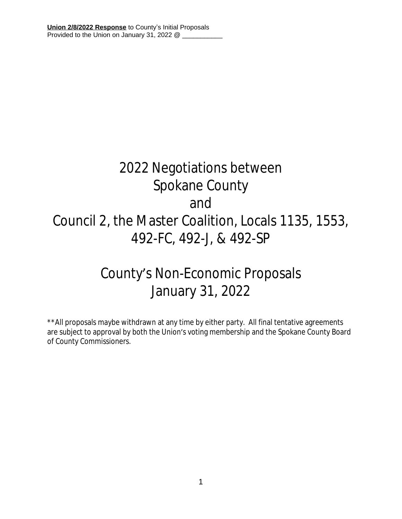# 2022 Negotiations between Spokane County and Council 2, the Master Coalition, Locals 1135, 1553, 492-FC, 492-J, & 492-SP

## County's Non-Economic Proposals January 31, 2022

\*\*All proposals maybe withdrawn at any time by either party. All final tentative agreements are subject to approval by both the Union's voting membership and the Spokane County Board of County Commissioners.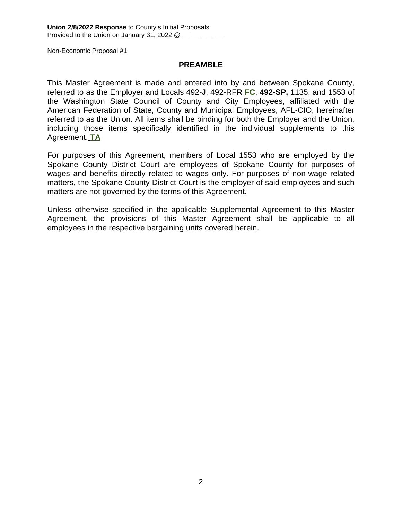### **PREAMBLE**

This Master Agreement is made and entered into by and between Spokane County, referred to as the Employer and Locals 492-J, 492-RF**R FC**, **492-SP,** 1135, and 1553 of the Washington State Council of County and City Employees, affiliated with the American Federation of State, County and Municipal Employees, AFL-CIO, hereinafter referred to as the Union. All items shall be binding for both the Employer and the Union, including those items specifically identified in the individual supplements to this Agreement. **TA**

For purposes of this Agreement, members of Local 1553 who are employed by the Spokane County District Court are employees of Spokane County for purposes of wages and benefits directly related to wages only. For purposes of non-wage related matters, the Spokane County District Court is the employer of said employees and such matters are not governed by the terms of this Agreement.

Unless otherwise specified in the applicable Supplemental Agreement to this Master Agreement, the provisions of this Master Agreement shall be applicable to all employees in the respective bargaining units covered herein.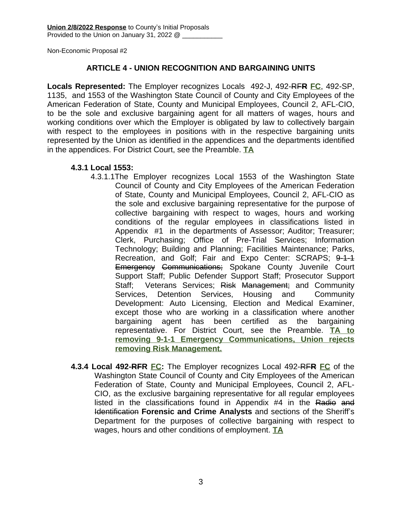### **ARTICLE 4 - UNION RECOGNITION AND BARGAINING UNITS**

**Locals Represented:** The Employer recognizes Locals 492-J, 492-RF**R FC**, 492-SP, 1135, and 1553 of the Washington State Council of County and City Employees of the American Federation of State, County and Municipal Employees, Council 2, AFL-CIO, to be the sole and exclusive bargaining agent for all matters of wages, hours and working conditions over which the Employer is obligated by law to collectively bargain with respect to the employees in positions with in the respective bargaining units represented by the Union as identified in the appendices and the departments identified in the appendices. For District Court, see the Preamble. **TA**

### **4.3.1 Local 1553:**

- 4.3.1.1The Employer recognizes Local 1553 of the Washington State Council of County and City Employees of the American Federation of State, County and Municipal Employees, Council 2, AFL-CIO as the sole and exclusive bargaining representative for the purpose of collective bargaining with respect to wages, hours and working conditions of the regular employees in classifications listed in Appendix #1 in the departments of Assessor; Auditor; Treasurer; Clerk, Purchasing; Office of Pre-Trial Services; Information Technology; Building and Planning; Facilities Maintenance; Parks, Recreation, and Golf; Fair and Expo Center: SCRAPS; 9-1-1 Emergency Communications; Spokane County Juvenile Court Support Staff; Public Defender Support Staff; Prosecutor Support Staff: Veterans Services: Risk Management: and Community Services, Detention Services, Housing and Community Development: Auto Licensing, Election and Medical Examiner, except those who are working in a classification where another bargaining agent has been certified as the bargaining representative. For District Court, see the Preamble. **TA to removing 9-1-1 Emergency Communications, Union rejects removing Risk Management.**
- **4.3.4 Local 492-RFR FC:** The Employer recognizes Local 492-RF**R FC** of the Washington State Council of County and City Employees of the American Federation of State, County and Municipal Employees, Council 2, AFL-CIO, as the exclusive bargaining representative for all regular employees listed in the classifications found in Appendix #4 in the Radio and Identification **Forensic and Crime Analysts** and sections of the Sheriff's Department for the purposes of collective bargaining with respect to wages, hours and other conditions of employment. **TA**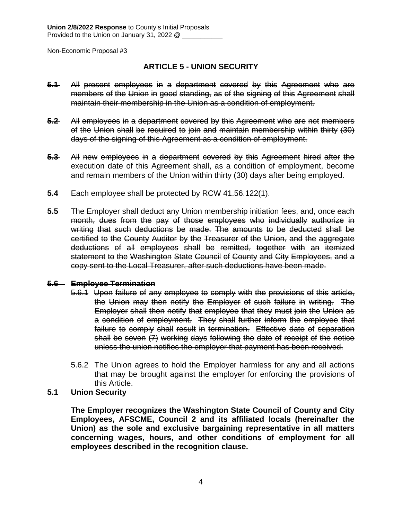### **ARTICLE 5 - UNION SECURITY**

- **5.1** All present employees in a department covered by this Agreement who are members of the Union in good standing, as of the signing of this Agreement shall maintain their membership in the Union as a condition of employment.
- **5.2** All employees in a department covered by this Agreement who are not members of the Union shall be required to join and maintain membership within thirty (30) days of the signing of this Agreement as a condition of employment.
- **5.3** All new employees in a department covered by this Agreement hired after the execution date of this Agreement shall, as a condition of employment, become and remain members of the Union within thirty (30) days after being employed.
- **5.4** Each employee shall be protected by RCW 41.56.122(1).
- **5.5** The Employer shall deduct any Union membership initiation fees, and, once each month, dues from the pay of those employees who individually authorize in writing that such deductions be made. The amounts to be deducted shall be certified to the County Auditor by the Treasurer of the Union, and the aggregate deductions of all employees shall be remitted, together with an itemized statement to the Washington State Council of County and City Employees, and a copy sent to the Local Treasurer, after such deductions have been made.

#### **5.6 Employee Termination**

- 5.6.1 Upon failure of any employee to comply with the provisions of this article, the Union may then notify the Employer of such failure in writing. The Employer shall then notify that employee that they must join the Union as a condition of employment. They shall further inform the employee that failure to comply shall result in termination. Effective date of separation shall be seven (7) working days following the date of receipt of the notice unless the union notifies the employer that payment has been received.
- 5.6.2 The Union agrees to hold the Employer harmless for any and all actions that may be brought against the employer for enforcing the provisions of this Article.
- **5.1 Union Security**

**The Employer recognizes the Washington State Council of County and City Employees, AFSCME, Council 2 and its affiliated locals (hereinafter the Union) as the sole and exclusive bargaining representative in all matters concerning wages, hours, and other conditions of employment for all employees described in the recognition clause.**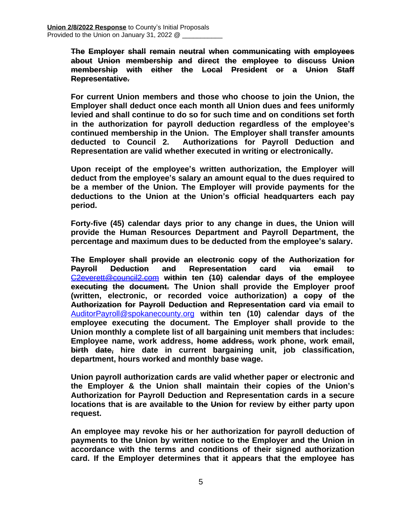**The Employer shall remain neutral when communicating with employees about Union membership and direct the employee to discuss Union membership with either the Local President or a Union Staff Representative.**

**For current Union members and those who choose to join the Union, the Employer shall deduct once each month all Union dues and fees uniformly levied and shall continue to do so for such time and on conditions set forth in the authorization for payroll deduction regardless of the employee's continued membership in the Union. The Employer shall transfer amounts deducted to Council 2. Authorizations for Payroll Deduction and Representation are valid whether executed in writing or electronically.** 

**Upon receipt of the employee's written authorization, the Employer will deduct from the employee's salary an amount equal to the dues required to be a member of the Union. The Employer will provide payments for the deductions to the Union at the Union's official headquarters each pay period.** 

**Forty-five (45) calendar days prior to any change in dues, the Union will provide the Human Resources Department and Payroll Department, the percentage and maximum dues to be deducted from the employee's salary.**

**The Employer shall provide an electronic copy of the Authorization for Payroll Deduction and Representation card via email to** [C2everett@council2.com](mailto:C2everett@council2.com) **within ten (10) calendar days of the employee executing the document. The Union shall provide the Employer proof (written, electronic, or recorded voice authorization) a copy of the Authorization for Payroll Deduction and Representation card via email to** [AuditorPayroll@spokanecounty.org](mailto:AuditorPayroll@spokanecounty.org) **within ten (10) calendar days of the employee executing the document. The Employer shall provide to the Union monthly a complete list of all bargaining unit members that includes: Employee name, work address, home address, work phone, work email, birth date, hire date in current bargaining unit, job classification, department, hours worked and monthly base wage.**

**Union payroll authorization cards are valid whether paper or electronic and the Employer & the Union shall maintain their copies of the Union's Authorization for Payroll Deduction and Representation cards in a secure locations that is are available to the Union for review by either party upon request.**

**An employee may revoke his or her authorization for payroll deduction of payments to the Union by written notice to the Employer and the Union in accordance with the terms and conditions of their signed authorization card. If the Employer determines that it appears that the employee has**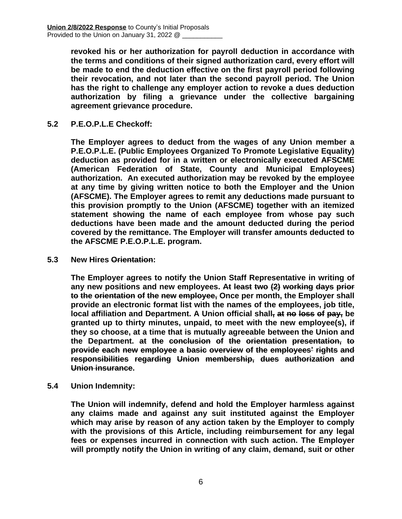**revoked his or her authorization for payroll deduction in accordance with the terms and conditions of their signed authorization card, every effort will be made to end the deduction effective on the first payroll period following their revocation, and not later than the second payroll period. The Union has the right to challenge any employer action to revoke a dues deduction authorization by filing a grievance under the collective bargaining agreement grievance procedure.**

**5.2 P.E.O.P.L.E Checkoff:**

**The Employer agrees to deduct from the wages of any Union member a P.E.O.P.L.E. (Public Employees Organized To Promote Legislative Equality) deduction as provided for in a written or electronically executed AFSCME (American Federation of State, County and Municipal Employees) authorization. An executed authorization may be revoked by the employee at any time by giving written notice to both the Employer and the Union (AFSCME). The Employer agrees to remit any deductions made pursuant to this provision promptly to the Union (AFSCME) together with an itemized statement showing the name of each employee from whose pay such deductions have been made and the amount deducted during the period covered by the remittance. The Employer will transfer amounts deducted to the AFSCME P.E.O.P.L.E. program.**

**5.3 New Hires Orientation:**

**The Employer agrees to notify the Union Staff Representative in writing of any new positions and new employees. At least two (2) working days prior to the orientation of the new employee, Once per month, the Employer shall provide an electronic format list with the names of the employees, job title, local affiliation and Department. A Union official shall, at no loss of pay, be granted up to thirty minutes, unpaid, to meet with the new employee(s), if they so choose, at a time that is mutually agreeable between the Union and the Department. at the conclusion of the orientation presentation, to provide each new employee a basic overview of the employees' rights and responsibilities regarding Union membership, dues authorization and Union insurance.**

**5.4 Union Indemnity:**

**The Union will indemnify, defend and hold the Employer harmless against any claims made and against any suit instituted against the Employer which may arise by reason of any action taken by the Employer to comply with the provisions of this Article, including reimbursement for any legal fees or expenses incurred in connection with such action. The Employer will promptly notify the Union in writing of any claim, demand, suit or other**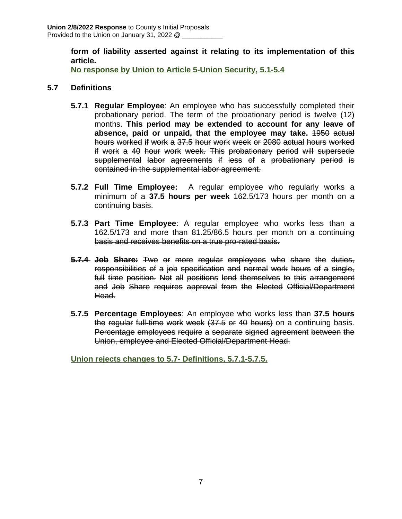**form of liability asserted against it relating to its implementation of this article.**

**No response by Union to Article 5-Union Security, 5.1-5.4**

### **5.7 Definitions**

- **5.7.1 Regular Employee**: An employee who has successfully completed their probationary period. The term of the probationary period is twelve (12) months. **This period may be extended to account for any leave of absence, paid or unpaid, that the employee may take.** 1950 actual hours worked if work a 37.5 hour work week or 2080 actual hours worked if work a 40 hour work week. This probationary period will supersede supplemental labor agreements if less of a probationary period is contained in the supplemental labor agreement.
- **5.7.2 Full Time Employee:** A regular employee who regularly works a minimum of a **37.5 hours per week** 162.5/173 hours per month on a continuing basis.
- **5.7.3 Part Time Employee**: A regular employee who works less than a 162.5/173 and more than 81.25/86.5 hours per month on a continuing basis and receives benefits on a true pro-rated basis.
- **5.7.4 Job Share:** Two or more regular employees who share the duties, responsibilities of a job specification and normal work hours of a single, full time position. Not all positions lend themselves to this arrangement and Job Share requires approval from the Elected Official/Department Head.
- **5.7.5 Percentage Employees**: An employee who works less than **37.5 hours** the regular full-time work week (37.5 or 40 hours) on a continuing basis. Percentage employees require a separate signed agreement between the Union, employee and Elected Official/Department Head.

**Union rejects changes to 5.7- Definitions, 5.7.1-5.7.5.**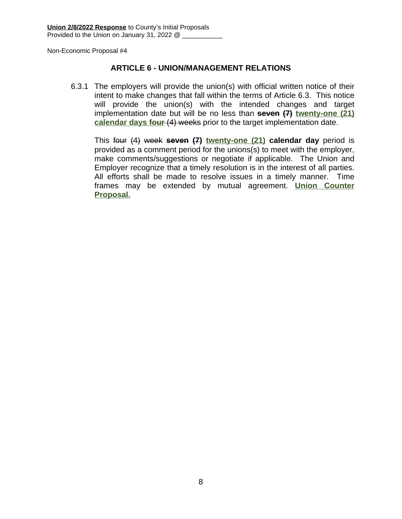### **ARTICLE 6 - UNION/MANAGEMENT RELATIONS**

6.3.1 The employers will provide the union(s) with official written notice of their intent to make changes that fall within the terms of Article 6.3. This notice will provide the union(s) with the intended changes and target implementation date but will be no less than **seven (7) twenty-one (21) calendar days four** (4) weeks prior to the target implementation date.

This four (4) week **seven (7) twenty-one (21) calendar day** period is provided as a comment period for the unions(s) to meet with the employer, make comments/suggestions or negotiate if applicable. The Union and Employer recognize that a timely resolution is in the interest of all parties. All efforts shall be made to resolve issues in a timely manner. Time frames may be extended by mutual agreement. **Union Counter Proposal.**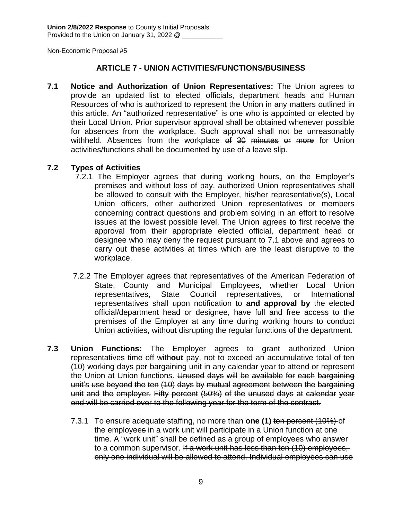### **ARTICLE 7 - UNION ACTIVITIES/FUNCTIONS/BUSINESS**

**7.1 Notice and Authorization of Union Representatives:** The Union agrees to provide an updated list to elected officials, department heads and Human Resources of who is authorized to represent the Union in any matters outlined in this article. An "authorized representative" is one who is appointed or elected by their Local Union. Prior supervisor approval shall be obtained whenever possible for absences from the workplace. Such approval shall not be unreasonably withheld. Absences from the workplace of 30 minutes or more for Union activities/functions shall be documented by use of a leave slip.

### **7.2 Types of Activities**

- 7.2.1 The Employer agrees that during working hours, on the Employer's premises and without loss of pay, authorized Union representatives shall be allowed to consult with the Employer, his/her representative(s), Local Union officers, other authorized Union representatives or members concerning contract questions and problem solving in an effort to resolve issues at the lowest possible level. The Union agrees to first receive the approval from their appropriate elected official, department head or designee who may deny the request pursuant to 7.1 above and agrees to carry out these activities at times which are the least disruptive to the workplace.
- 7.2.2 The Employer agrees that representatives of the American Federation of State, County and Municipal Employees, whether Local Union representatives, State Council representatives, or International representatives shall upon notification to **and approval by** the elected official/department head or designee, have full and free access to the premises of the Employer at any time during working hours to conduct Union activities, without disrupting the regular functions of the department.
- **7.3 Union Functions:** The Employer agrees to grant authorized Union representatives time off with**out** pay, not to exceed an accumulative total of ten (10) working days per bargaining unit in any calendar year to attend or represent the Union at Union functions. Unused days will be available for each bargaining unit's use beyond the ten (10) days by mutual agreement between the bargaining unit and the employer. Fifty percent (50%) of the unused days at calendar year end will be carried over to the following year for the term of the contract.
	- 7.3.1 To ensure adequate staffing, no more than **one (1)** ten percent (10%) of the employees in a work unit will participate in a Union function at one time. A "work unit" shall be defined as a group of employees who answer to a common supervisor. If a work unit has less than ten (10) employees, only one individual will be allowed to attend. Individual employees can use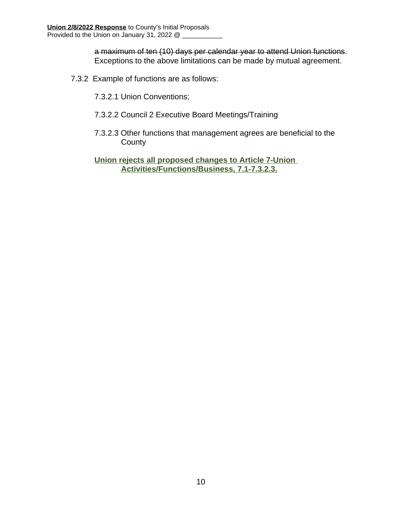a maximum of ten (10) days per calendar year to attend Union functions. Exceptions to the above limitations can be made by mutual agreement.

- 7.3.2 Example of functions are as follows:
	- 7.3.2.1 Union Conventions;
	- 7.3.2.2 Council 2 Executive Board Meetings/Training
	- 7.3.2.3 Other functions that management agrees are beneficial to the **County**

**Union rejects all proposed changes to Article 7-Union Activities/Functions/Business, 7.1-7.3.2.3.**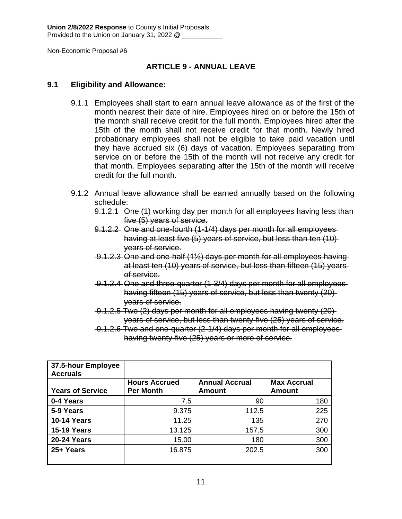### **ARTICLE 9 - ANNUAL LEAVE**

### **9.1 Eligibility and Allowance:**

- 9.1.1 Employees shall start to earn annual leave allowance as of the first of the month nearest their date of hire. Employees hired on or before the 15th of the month shall receive credit for the full month. Employees hired after the 15th of the month shall not receive credit for that month. Newly hired probationary employees shall not be eligible to take paid vacation until they have accrued six (6) days of vacation. Employees separating from service on or before the 15th of the month will not receive any credit for that month. Employees separating after the 15th of the month will receive credit for the full month.
- 9.1.2 Annual leave allowance shall be earned annually based on the following schedule:
	- 9.1.2.1 One (1) working day per month for all employees having less than five (5) years of service.
	- 9.1.2.2 One and one-fourth (1-1/4) days per month for all employees having at least five (5) years of service, but less than ten (10) years of service.
	- 9.1.2.3 One and one-half (1½) days per month for all employees having at least ten (10) years of service, but less than fifteen (15) years of service.
	- 9.1.2.4 One and three-quarter (1-3/4) days per month for all employees having fifteen (15) years of service, but less than twenty (20) years of service.
	- 9.1.2.5 Two (2) days per month for all employees having twenty (20) years of service, but less than twenty-five (25) years of service.
	- 9.1.2.6 Two and one-quarter (2-1/4) days per month for all employees having twenty-five (25) years or more of service.

| 37.5-hour Employee<br><b>Accruals</b> |                                          |                                 |                                     |
|---------------------------------------|------------------------------------------|---------------------------------|-------------------------------------|
| <b>Years of Service</b>               | <b>Hours Accrued</b><br><b>Per Month</b> | <b>Annual Accrual</b><br>Amount | <b>Max Accrual</b><br><b>Amount</b> |
|                                       |                                          |                                 |                                     |
| 0-4 Years                             | 7.5                                      | 90                              | 180                                 |
| 5-9 Years                             | 9.375                                    | 112.5                           | 225                                 |
| <b>10-14 Years</b>                    | 11.25                                    | 135                             | 270                                 |
| <b>15-19 Years</b>                    | 13.125                                   | 157.5                           | 300                                 |
| <b>20-24 Years</b>                    | 15.00                                    | 180                             | 300                                 |
| 25+ Years                             | 16.875                                   | 202.5                           | 300                                 |
|                                       |                                          |                                 |                                     |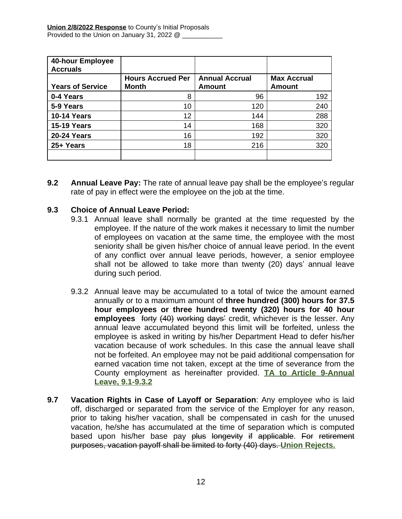| <b>40-hour Employee</b><br><b>Accruals</b> |                                          |                                 |                                     |
|--------------------------------------------|------------------------------------------|---------------------------------|-------------------------------------|
| <b>Years of Service</b>                    | <b>Hours Accrued Per</b><br><b>Month</b> | <b>Annual Accrual</b><br>Amount | <b>Max Accrual</b><br><b>Amount</b> |
| 0-4 Years                                  | 8                                        | 96                              | 192                                 |
| 5-9 Years                                  | 10                                       | 120                             | 240                                 |
| <b>10-14 Years</b>                         | 12                                       | 144                             | 288                                 |
| <b>15-19 Years</b>                         | 14                                       | 168                             | 320                                 |
| <b>20-24 Years</b>                         | 16                                       | 192                             | 320                                 |
| 25+ Years                                  | 18                                       | 216                             | 320                                 |
|                                            |                                          |                                 |                                     |

**9.2 Annual Leave Pay:** The rate of annual leave pay shall be the employee's regular rate of pay in effect were the employee on the job at the time.

### **9.3 Choice of Annual Leave Period:**

- 9.3.1 Annual leave shall normally be granted at the time requested by the employee. If the nature of the work makes it necessary to limit the number of employees on vacation at the same time, the employee with the most seniority shall be given his/her choice of annual leave period. In the event of any conflict over annual leave periods, however, a senior employee shall not be allowed to take more than twenty (20) days' annual leave during such period.
- 9.3.2 Annual leave may be accumulated to a total of twice the amount earned annually or to a maximum amount of **three hundred (300) hours for 37.5 hour employees or three hundred twenty (320) hours for 40 hour employees** forty (40) working days' credit, whichever is the lesser. Any annual leave accumulated beyond this limit will be forfeited, unless the employee is asked in writing by his/her Department Head to defer his/her vacation because of work schedules. In this case the annual leave shall not be forfeited. An employee may not be paid additional compensation for earned vacation time not taken, except at the time of severance from the County employment as hereinafter provided. **TA to Article 9-Annual Leave, 9.1-9.3.2**
- **9.7 Vacation Rights in Case of Layoff or Separation**: Any employee who is laid off, discharged or separated from the service of the Employer for any reason, prior to taking his/her vacation, shall be compensated in cash for the unused vacation, he/she has accumulated at the time of separation which is computed based upon his/her base pay plus longevity if applicable. For retirement purposes, vacation payoff shall be limited to forty (40) days. **Union Rejects.**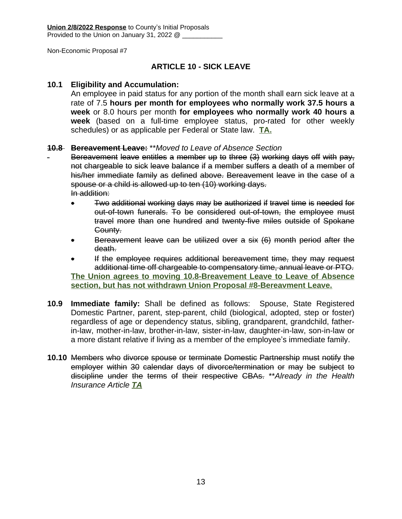### **ARTICLE 10 - SICK LEAVE**

### **10.1 Eligibility and Accumulation:**

An employee in paid status for any portion of the month shall earn sick leave at a rate of 7.5 **hours per month for employees who normally work 37.5 hours a week** or 8.0 hours per month **for employees who normally work 40 hours a week** (based on a full-time employee status, pro-rated for other weekly schedules) or as applicable per Federal or State law. **TA.**

#### **10.8 Bereavement Leave:** \*\**Moved to Leave of Absence Section*

Bereavement leave entitles a member up to three (3) working days off with pay, not chargeable to sick leave balance if a member suffers a death of a member of his/her immediate family as defined above. Bereavement leave in the case of a spouse or a child is allowed up to ten (10) working days. In addition:

- Two additional working days may be authorized if travel time is needed for out-of-town funerals. To be considered out-of-town, the employee must travel more than one hundred and twenty-five miles outside of Spokane County.
- Bereavement leave can be utilized over a six (6) month period after the death.
- If the employee requires additional bereavement time, they may request additional time off chargeable to compensatory time, annual leave or PTO. **The Union agrees to moving 10.8-Breavement Leave to Leave of Absence section, but has not withdrawn Union Proposal #8-Bereavment Leave.**
- **10.9 Immediate family:** Shall be defined as follows: Spouse, State Registered Domestic Partner, parent, step-parent, child (biological, adopted, step or foster) regardless of age or dependency status, sibling, grandparent, grandchild, fatherin-law, mother-in-law, brother-in-law, sister-in-law, daughter-in-law, son-in-law or a more distant relative if living as a member of the employee's immediate family.
- **10.10** Members who divorce spouse or terminate Domestic Partnership must notify the employer within 30 calendar days of divorce/termination or may be subject to discipline under the terms of their respective CBAs. \*\**Already in the Health Insurance Article TA*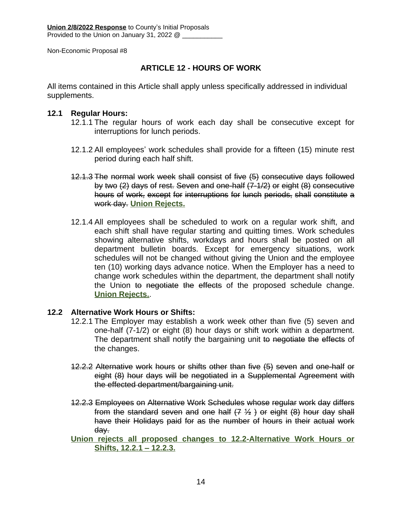### **ARTICLE 12 - HOURS OF WORK**

All items contained in this Article shall apply unless specifically addressed in individual supplements.

### **12.1 Regular Hours:**

- 12.1.1 The regular hours of work each day shall be consecutive except for interruptions for lunch periods.
- 12.1.2 All employees' work schedules shall provide for a fifteen (15) minute rest period during each half shift.
- 12.1.3 The normal work week shall consist of five (5) consecutive days followed by two (2) days of rest. Seven and one-half (7-1/2) or eight (8) consecutive hours of work, except for interruptions for lunch periods, shall constitute a work day. **Union Rejects.**
- 12.1.4 All employees shall be scheduled to work on a regular work shift, and each shift shall have regular starting and quitting times. Work schedules showing alternative shifts, workdays and hours shall be posted on all department bulletin boards. Except for emergency situations, work schedules will not be changed without giving the Union and the employee ten (10) working days advance notice. When the Employer has a need to change work schedules within the department, the department shall notify the Union to negotiate the effects of the proposed schedule change. **Union Rejects.**.

### **12.2 Alternative Work Hours or Shifts:**

- 12.2.1 The Employer may establish a work week other than five (5) seven and one-half (7-1/2) or eight (8) hour days or shift work within a department. The department shall notify the bargaining unit to negotiate the effects of the changes.
- 12.2.2 Alternative work hours or shifts other than five (5) seven and one-half or eight (8) hour days will be negotiated in a Supplemental Agreement with the effected department/bargaining unit.
- 12.2.3 Employees on Alternative Work Schedules whose regular work day differs from the standard seven and one half  $(7, 1/2)$  or eight  $(8)$  hour day shall have their Holidays paid for as the number of hours in their actual work day.
- **Union rejects all proposed changes to 12.2-Alternative Work Hours or Shifts, 12.2.1 – 12.2.3.**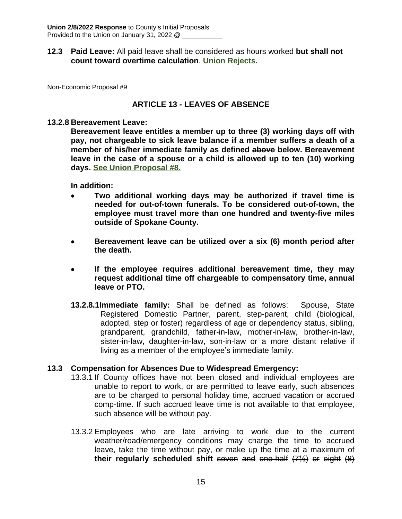### **12.3 Paid Leave:** All paid leave shall be considered as hours worked **but shall not count toward overtime calculation**. **Union Rejects.**

Non-Economic Proposal #9

### **ARTICLE 13 - LEAVES OF ABSENCE**

#### **13.2.8 Bereavement Leave:**

**Bereavement leave entitles a member up to three (3) working days off with pay, not chargeable to sick leave balance if a member suffers a death of a member of his/her immediate family as defined above below. Bereavement leave in the case of a spouse or a child is allowed up to ten (10) working days. See Union Proposal #8.**

**In addition:**

- **Two additional working days may be authorized if travel time is needed for out-of-town funerals. To be considered out-of-town, the employee must travel more than one hundred and twenty-five miles outside of Spokane County.**
- **Bereavement leave can be utilized over a six (6) month period after the death.**
- **If the employee requires additional bereavement time, they may request additional time off chargeable to compensatory time, annual leave or PTO.**
- **13.2.8.1Immediate family:** Shall be defined as follows: Spouse, State Registered Domestic Partner, parent, step-parent, child (biological, adopted, step or foster) regardless of age or dependency status, sibling, grandparent, grandchild, father-in-law, mother-in-law, brother-in-law, sister-in-law, daughter-in-law, son-in-law or a more distant relative if living as a member of the employee's immediate family.

#### **13.3 Compensation for Absences Due to Widespread Emergency:**

- 13.3.1 If County offices have not been closed and individual employees are unable to report to work, or are permitted to leave early, such absences are to be charged to personal holiday time, accrued vacation or accrued comp-time. If such accrued leave time is not available to that employee, such absence will be without pay.
- 13.3.2 Employees who are late arriving to work due to the current weather/road/emergency conditions may charge the time to accrued leave, take the time without pay, or make up the time at a maximum of **their regularly scheduled shift** seven and one-half (7½) or eight (8)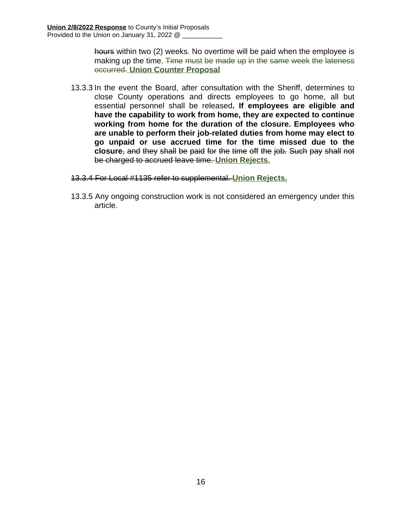hours within two (2) weeks. No overtime will be paid when the employee is making up the time. Time must be made up in the same week the lateness occurred. **Union Counter Proposal**

- 13.3.3 In the event the Board, after consultation with the Sheriff, determines to close County operations and directs employees to go home, all but essential personnel shall be released**. If employees are eligible and have the capability to work from home, they are expected to continue working from home for the duration of the closure. Employees who are unable to perform their job-related duties from home may elect to go unpaid or use accrued time for the time missed due to the closure**, and they shall be paid for the time off the job. Such pay shall not be charged to accrued leave time. **Union Rejects.**
- 13.3.4 For Local #1135 refer to supplemental. **Union Rejects.**
- 13.3.5 Any ongoing construction work is not considered an emergency under this article.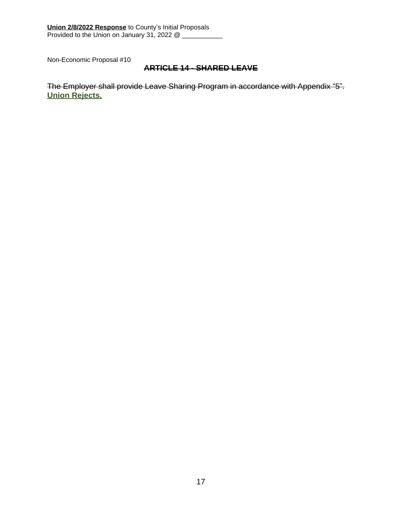### **ARTICLE 14 - SHARED LEAVE**

The Employer shall provide Leave Sharing Program in accordance with Appendix "5". **Union Rejects.**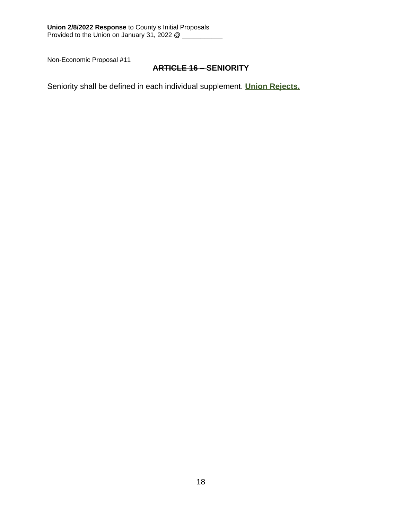### **ARTICLE 16 – SENIORITY**

Seniority shall be defined in each individual supplement. **Union Rejects.**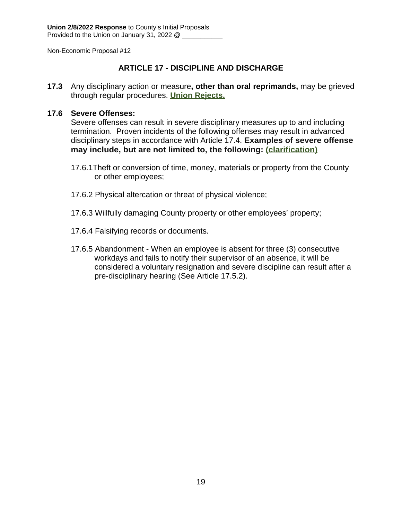### **ARTICLE 17 - DISCIPLINE AND DISCHARGE**

**17.3** Any disciplinary action or measure**, other than oral reprimands,** may be grieved through regular procedures. **Union Rejects.**

### **17.6 Severe Offenses:**

Severe offenses can result in severe disciplinary measures up to and including termination. Proven incidents of the following offenses may result in advanced disciplinary steps in accordance with Article 17.4. **Examples of severe offense may include, but are not limited to, the following: (clarification)**

- 17.6.1Theft or conversion of time, money, materials or property from the County or other employees;
- 17.6.2 Physical altercation or threat of physical violence;
- 17.6.3 Willfully damaging County property or other employees' property;
- 17.6.4 Falsifying records or documents.
- 17.6.5 Abandonment When an employee is absent for three (3) consecutive workdays and fails to notify their supervisor of an absence, it will be considered a voluntary resignation and severe discipline can result after a pre-disciplinary hearing (See Article 17.5.2).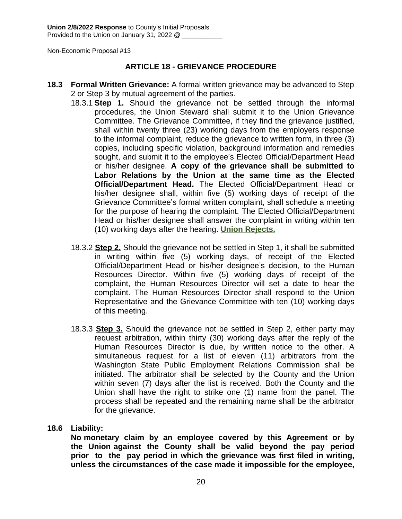### **ARTICLE 18 - GRIEVANCE PROCEDURE**

- **18.3 Formal Written Grievance:** A formal written grievance may be advanced to Step 2 or Step 3 by mutual agreement of the parties.
	- 18.3.1 **Step 1.** Should the grievance not be settled through the informal procedures, the Union Steward shall submit it to the Union Grievance Committee. The Grievance Committee, if they find the grievance justified, shall within twenty three (23) working days from the employers response to the informal complaint, reduce the grievance to written form, in three (3) copies, including specific violation, background information and remedies sought, and submit it to the employee's Elected Official/Department Head or his/her designee. **A copy of the grievance shall be submitted to Labor Relations by the Union at the same time as the Elected Official/Department Head.** The Elected Official/Department Head or his/her designee shall, within five (5) working days of receipt of the Grievance Committee's formal written complaint, shall schedule a meeting for the purpose of hearing the complaint. The Elected Official/Department Head or his/her designee shall answer the complaint in writing within ten (10) working days after the hearing. **Union Rejects.**
	- 18.3.2 **Step 2.** Should the grievance not be settled in Step 1, it shall be submitted in writing within five (5) working days, of receipt of the Elected Official/Department Head or his/her designee's decision, to the Human Resources Director. Within five (5) working days of receipt of the complaint, the Human Resources Director will set a date to hear the complaint. The Human Resources Director shall respond to the Union Representative and the Grievance Committee with ten (10) working days of this meeting.
	- 18.3.3 **Step 3.** Should the grievance not be settled in Step 2, either party may request arbitration, within thirty (30) working days after the reply of the Human Resources Director is due, by written notice to the other. A simultaneous request for a list of eleven (11) arbitrators from the Washington State Public Employment Relations Commission shall be initiated. The arbitrator shall be selected by the County and the Union within seven (7) days after the list is received. Both the County and the Union shall have the right to strike one (1) name from the panel. The process shall be repeated and the remaining name shall be the arbitrator for the grievance.

#### **18.6 Liability:**

**No monetary claim by an employee covered by this Agreement or by the Union against the County shall be valid beyond the pay period prior to the pay period in which the grievance was first filed in writing, unless the circumstances of the case made it impossible for the employee,**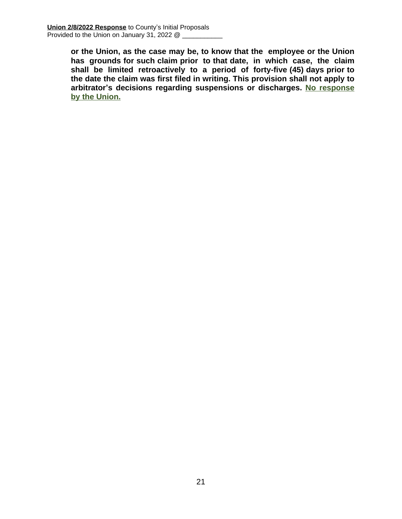**or the Union, as the case may be, to know that the employee or the Union has grounds for such claim prior to that date, in which case, the claim shall be limited retroactively to a period of forty-five (45) days prior to the date the claim was first filed in writing. This provision shall not apply to arbitrator's decisions regarding suspensions or discharges. No response by the Union.**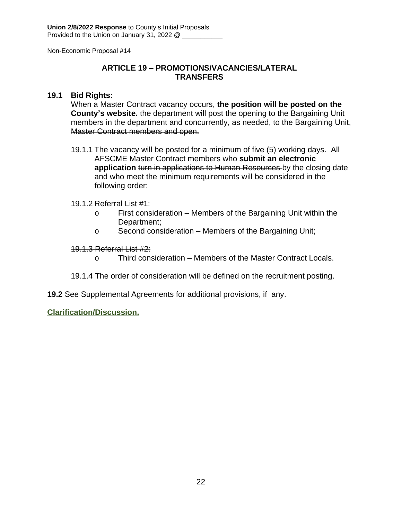### **ARTICLE 19 – PROMOTIONS/VACANCIES/LATERAL TRANSFERS**

### **19.1 Bid Rights:**

When a Master Contract vacancy occurs, **the position will be posted on the County's website.** the department will post the opening to the Bargaining Unit members in the department and concurrently, as needed, to the Bargaining Unit, Master Contract members and open.

19.1.1 The vacancy will be posted for a minimum of five (5) working days. All AFSCME Master Contract members who **submit an electronic application** turn in applications to Human Resources by the closing date and who meet the minimum requirements will be considered in the following order:

### 19.1.2 Referral List #1:

- o First consideration Members of the Bargaining Unit within the Department;
- o Second consideration Members of the Bargaining Unit;

#### 19.1.3 Referral List #2:

- o Third consideration Members of the Master Contract Locals.
- 19.1.4 The order of consideration will be defined on the recruitment posting.

#### **19.2** See Supplemental Agreements for additional provisions, if any.

**Clarification/Discussion.**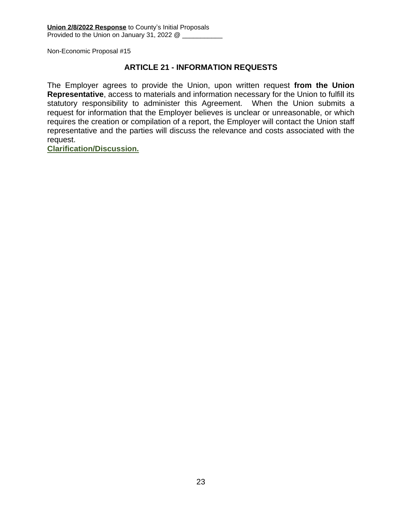### **ARTICLE 21 - INFORMATION REQUESTS**

The Employer agrees to provide the Union, upon written request **from the Union Representative**, access to materials and information necessary for the Union to fulfill its statutory responsibility to administer this Agreement. When the Union submits a request for information that the Employer believes is unclear or unreasonable, or which requires the creation or compilation of a report, the Employer will contact the Union staff representative and the parties will discuss the relevance and costs associated with the request.

**Clarification/Discussion.**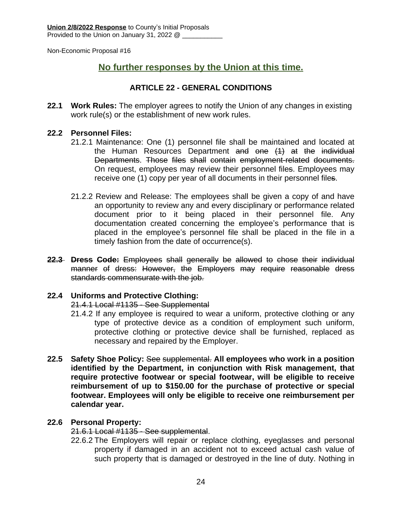## **No further responses by the Union at this time.**

### **ARTICLE 22 - GENERAL CONDITIONS**

**22.1 Work Rules:** The employer agrees to notify the Union of any changes in existing work rule(s) or the establishment of new work rules.

### **22.2 Personnel Files:**

- 21.2.1 Maintenance: One (1) personnel file shall be maintained and located at the Human Resources Department and one (1) at the individual Departments. Those files shall contain employment-related documents. On request, employees may review their personnel files. Employees may receive one (1) copy per year of all documents in their personnel files.
- 21.2.2 Review and Release: The employees shall be given a copy of and have an opportunity to review any and every disciplinary or performance related document prior to it being placed in their personnel file. Any documentation created concerning the employee's performance that is placed in the employee's personnel file shall be placed in the file in a timely fashion from the date of occurrence(s).
- **22.3 Dress Code:** Employees shall generally be allowed to chose their individual manner of dress: However, the Employers may require reasonable dress standards commensurate with the job.

### **22.4 Uniforms and Protective Clothing:**

21.4.1 Local #1135 - See Supplemental

- 21.4.2 If any employee is required to wear a uniform, protective clothing or any type of protective device as a condition of employment such uniform, protective clothing or protective device shall be furnished, replaced as necessary and repaired by the Employer.
- **22.5 Safety Shoe Policy:** See supplemental. **All employees who work in a position identified by the Department, in conjunction with Risk management, that require protective footwear or special footwear, will be eligible to receive reimbursement of up to \$150.00 for the purchase of protective or special footwear. Employees will only be eligible to receive one reimbursement per calendar year.**

### **22.6 Personal Property:**

21.6.1 Local #1135 - See supplemental.

22.6.2 The Employers will repair or replace clothing, eyeglasses and personal property if damaged in an accident not to exceed actual cash value of such property that is damaged or destroyed in the line of duty. Nothing in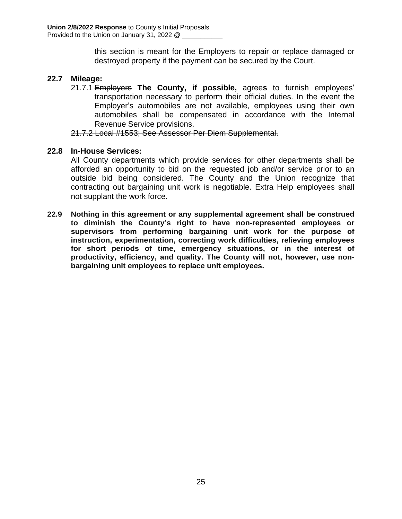this section is meant for the Employers to repair or replace damaged or destroyed property if the payment can be secured by the Court.

### **22.7 Mileage:**

21.7.1 Employers **The County, if possible,** agree**s** to furnish employees' transportation necessary to perform their official duties. In the event the Employer's automobiles are not available, employees using their own automobiles shall be compensated in accordance with the Internal Revenue Service provisions.

21.7.2 Local #1553; See Assessor Per Diem Supplemental.

### **22.8 In-House Services:**

All County departments which provide services for other departments shall be afforded an opportunity to bid on the requested job and/or service prior to an outside bid being considered. The County and the Union recognize that contracting out bargaining unit work is negotiable. Extra Help employees shall not supplant the work force.

**22.9 Nothing in this agreement or any supplemental agreement shall be construed to diminish the County's right to have non-represented employees or supervisors from performing bargaining unit work for the purpose of instruction, experimentation, correcting work difficulties, relieving employees for short periods of time, emergency situations, or in the interest of productivity, efficiency, and quality. The County will not, however, use nonbargaining unit employees to replace unit employees.**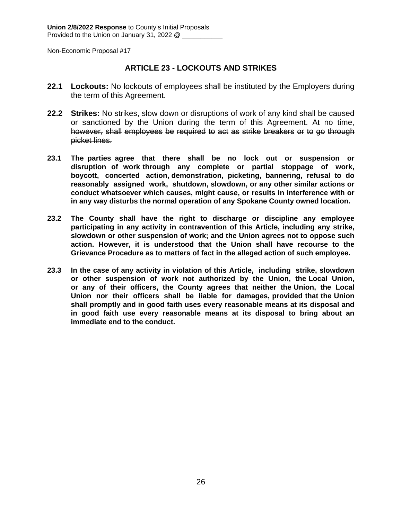### **ARTICLE 23 - LOCKOUTS AND STRIKES**

- **22.1 Lockouts:** No lockouts of employees shall be instituted by the Employers during the term of this Agreement.
- **22.2 Strikes:** No strikes, slow down or disruptions of work of any kind shall be caused or sanctioned by the Union during the term of this Agreement. At no time, however, shall employees be required to act as strike breakers or to go through picket lines.
- **23.1 The parties agree that there shall be no lock out or suspension or disruption of work through any complete or partial stoppage of work, boycott, concerted action, demonstration, picketing, bannering, refusal to do reasonably assigned work, shutdown, slowdown, or any other similar actions or conduct whatsoever which causes, might cause, or results in interference with or in any way disturbs the normal operation of any Spokane County owned location.**
- **23.2 The County shall have the right to discharge or discipline any employee participating in any activity in contravention of this Article, including any strike, slowdown or other suspension of work; and the Union agrees not to oppose such action. However, it is understood that the Union shall have recourse to the Grievance Procedure as to matters of fact in the alleged action of such employee.**
- **23.3 In the case of any activity in violation of this Article, including strike, slowdown or other suspension of work not authorized by the Union, the Local Union, or any of their officers, the County agrees that neither the Union, the Local Union nor their officers shall be liable for damages, provided that the Union shall promptly and in good faith uses every reasonable means at its disposal and in good faith use every reasonable means at its disposal to bring about an immediate end to the conduct.**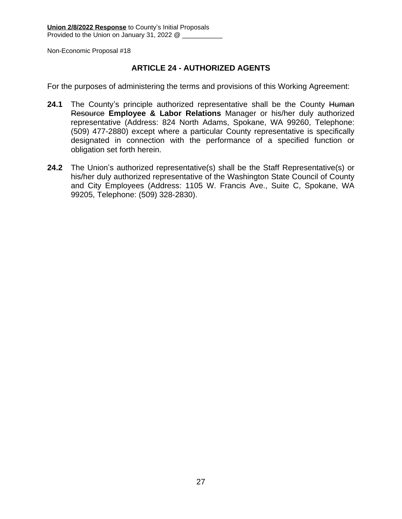### **ARTICLE 24 - AUTHORIZED AGENTS**

For the purposes of administering the terms and provisions of this Working Agreement:

- 24.1 The County's principle authorized representative shall be the County Human Resource **Employee & Labor Relations** Manager or his/her duly authorized representative (Address: 824 North Adams, Spokane, WA 99260, Telephone: (509) 477-2880) except where a particular County representative is specifically designated in connection with the performance of a specified function or obligation set forth herein.
- **24.2** The Union's authorized representative(s) shall be the Staff Representative(s) or his/her duly authorized representative of the Washington State Council of County and City Employees (Address: 1105 W. Francis Ave., Suite C, Spokane, WA 99205, Telephone: (509) 328-2830).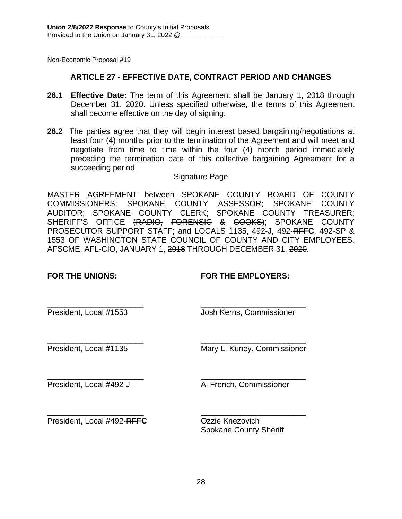### **ARTICLE 27 - EFFECTIVE DATE, CONTRACT PERIOD AND CHANGES**

- **26.1 Effective Date:** The term of this Agreement shall be January 1, 2018 through December 31, 2020. Unless specified otherwise, the terms of this Agreement shall become effective on the day of signing.
- **26.2** The parties agree that they will begin interest based bargaining/negotiations at least four (4) months prior to the termination of the Agreement and will meet and negotiate from time to time within the four (4) month period immediately preceding the termination date of this collective bargaining Agreement for a succeeding period.

#### Signature Page

MASTER AGREEMENT between SPOKANE COUNTY BOARD OF COUNTY COMMISSIONERS; SPOKANE COUNTY ASSESSOR; SPOKANE COUNTY AUDITOR; SPOKANE COUNTY CLERK; SPOKANE COUNTY TREASURER; SHERIFF'S OFFICE (RADIO, FORENSIC & COOKS); SPOKANE COUNTY PROSECUTOR SUPPORT STAFF; and LOCALS 1135, 492-J, 492-RF**FC**, 492-SP & 1553 OF WASHINGTON STATE COUNCIL OF COUNTY AND CITY EMPLOYEES, AFSCME, AFL-CIO, JANUARY 1, 2018 THROUGH DECEMBER 31, 2020.

### **FOR THE UNIONS: FOR THE EMPLOYERS:**

\_\_\_\_\_\_\_\_\_\_\_\_\_\_\_\_\_\_\_\_\_\_ \_\_\_\_\_\_\_\_\_\_\_\_\_\_\_\_\_\_\_\_\_\_\_\_ President, Local #1553 Josh Kerns, Commissioner

\_\_\_\_\_\_\_\_\_\_\_\_\_\_\_\_\_\_\_\_\_\_ \_\_\_\_\_\_\_\_\_\_\_\_\_\_\_\_\_\_\_\_\_\_\_\_ President, Local #1135 Mary L. Kuney, Commissioner

\_\_\_\_\_\_\_\_\_\_\_\_\_\_\_\_\_\_\_\_\_\_ \_\_\_\_\_\_\_\_\_\_\_\_\_\_\_\_\_\_\_\_\_\_\_\_

President, Local #492-J Al French, Commissioner

\_\_\_\_\_\_\_\_\_\_\_\_\_\_\_\_\_\_\_\_\_\_ \_\_\_\_\_\_\_\_\_\_\_\_\_\_\_\_\_\_\_\_\_\_\_\_ President, Local #492-RFFC Ozzie Knezovich

Spokane County Sheriff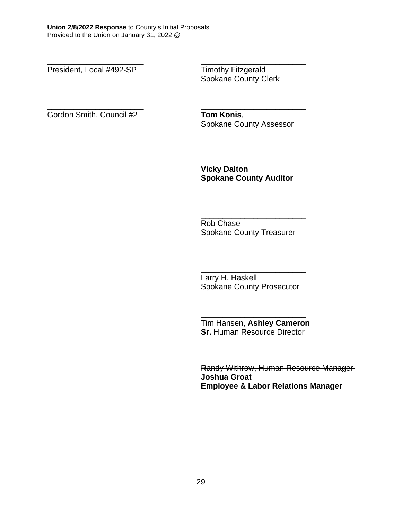President, Local #492-SP Timothy Fitzgerald

\_\_\_\_\_\_\_\_\_\_\_\_\_\_\_\_\_\_\_\_\_\_ \_\_\_\_\_\_\_\_\_\_\_\_\_\_\_\_\_\_\_\_\_\_\_\_ Spokane County Clerk

\_\_\_\_\_\_\_\_\_\_\_\_\_\_\_\_\_\_\_\_\_\_ \_\_\_\_\_\_\_\_\_\_\_\_\_\_\_\_\_\_\_\_\_\_\_\_ Gordon Smith, Council #2 **Tom Konis**,

Spokane County Assessor

**Vicky Dalton Spokane County Auditor**

\_\_\_\_\_\_\_\_\_\_\_\_\_\_\_\_\_\_\_\_\_\_\_\_

Rob Chase Spokane County Treasurer

\_\_\_\_\_\_\_\_\_\_\_\_\_\_\_\_\_\_\_\_\_\_\_\_

\_\_\_\_\_\_\_\_\_\_\_\_\_\_\_\_\_\_\_\_\_\_\_\_ Larry H. Haskell Spokane County Prosecutor

Tim Hansen, **Ashley Cameron Sr.** Human Resource Director

\_\_\_\_\_\_\_\_\_\_\_\_\_\_\_\_\_\_\_\_\_\_\_\_

\_\_\_\_\_\_\_\_\_\_\_\_\_\_\_\_\_\_\_\_\_\_\_\_

Randy Withrow, Human Resource Manager **Joshua Groat Employee & Labor Relations Manager**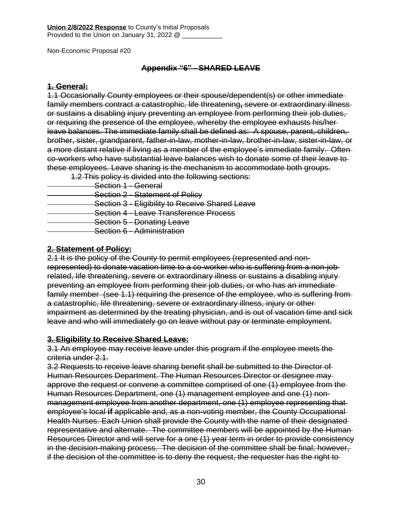### **Appendix "6" - SHARED LEAVE**

### **1. General:**

1.1 Occasionally County employees or their spouse/dependent(s) or other immediate family members contract a catastrophic, life threatening**,** severe or extraordinary illness or sustains a disabling injury preventing an employee from performing their job duties, or requiring the presence of the employee, whereby the employee exhausts his/her leave balances. The immediate family shall be defined as: A spouse, parent, children, brother, sister, grandparent, father-in-law, mother-in-law, brother-in-law, sister-in-law, or a more distant relative if living as a member of the employee's immediate family. Often co-workers who have substantial leave balances wish to donate some of their leave to these employees. Leave sharing is the mechanism to accommodate both groups.

1.2 This policy is divided into the following sections:

- Section 1 General
- **Section 2 Statement of Policy**
- **Section 3 Eligibility to Receive Shared Leave**
- Section 4 Leave Transference Process
- **Section 5 Donating Leave**
- Section 6 Administration

### **2. Statement of Policy:**

2.1 It is the policy of the County to permit employees (represented and nonrepresented) to donate vacation time to a co-worker who is suffering from a non-job related, life threatening, severe or extraordinary illness or sustains a disabling injury preventing an employee from performing their job duties, or who has an immediate family member (see 1.1) requiring the presence of the employee, who is suffering from a catastrophic, life threatening, severe or extraordinary illness, injury or other impairment as determined by the treating physician, and is out of vacation time and sick leave and who will immediately go on leave without pay or terminate employment.

### **3. Eligibility to Receive Shared Leave:**

3.1 An employee may receive leave under this program if the employee meets the criteria under 2.1.

3.2 Requests to receive leave sharing benefit shall be submitted to the Director of Human Resources Department. The Human Resources Director or designee may approve the request or convene a committee comprised of one (1) employee from the Human Resources Department, one (1) management employee and one (1) nonmanagement employee from another department, one (1) employee representing that employee's local **if** applicable and, as a non-voting member, the County Occupational Health Nurses. Each Union shall provide the County with the name of their designated representative and alternate. The committee members will be appointed by the Human Resources Director and will serve for a one (1) year term in order to provide consistency in the decision-making process. The decision of the committee shall be final; however, if the decision of the committee is to deny the request, the requester has the right to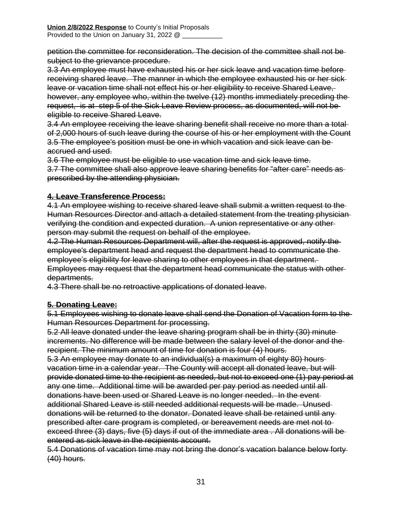petition the committee for reconsideration. The decision of the committee shall not be subject to the grievance procedure.

3.3 An employee must have exhausted his or her sick leave and vacation time before receiving shared leave. The manner in which the employee exhausted his or her sick leave or vacation time shall not effect his or her eligibility to receive Shared Leave, however, any employee who, within the twelve (12) months immediately preceding the request, is at step 5 of the Sick Leave Review process, as documented, will not be eligible to receive Shared Leave.

3.4 An employee receiving the leave sharing benefit shall receive no more than a total of 2,000 hours of such leave during the course of his or her employment with the Count 3.5 The employee's position must be one in which vacation and sick leave can be accrued and used.

3.6 The employee must be eligible to use vacation time and sick leave time.

3.7 The committee shall also approve leave sharing benefits for "after care" needs as prescribed by the attending physician.

### **4. Leave Transference Process:**

4.1 An employee wishing to receive shared leave shall submit a written request to the Human Resources Director and attach a detailed statement from the treating physician verifying the condition and expected duration. A union representative or any other person may submit the request on behalf of the employee.

4.2 The Human Resources Department will, after the request is approved, notify the employee's department head and request the department head to communicate the employee's eligibility for leave sharing to other employees in that department. Employees may request that the department head communicate the status with other departments.

4.3 There shall be no retroactive applications of donated leave.

### **5. Donating Leave:**

5.1 Employees wishing to donate leave shall send the Donation of Vacation form to the Human Resources Department for processing.

5.2 All leave donated under the leave sharing program shall be in thirty (30) minute increments. No difference will be made between the salary level of the donor and the recipient. The minimum amount of time for donation is four (4) hours.

5.3 An employee may donate to an individual(s) a maximum of eighty 80) hours vacation time in a calendar year. The County will accept all donated leave, but will provide donated time to the recipient as needed, but not to exceed one (1) pay period at any one time. Additional time will be awarded per pay period as needed until all donations have been used or Shared Leave is no longer needed. In the event additional Shared Leave is still needed additional requests will be made. Unused donations will be returned to the donator. Donated leave shall be retained until any prescribed after care program is completed, or bereavement needs are met not to exceed three (3) days, five (5) days if out of the immediate area . All donations will be entered as sick leave in the recipients account.

5.4 Donations of vacation time may not bring the donor's vacation balance below forty (40) hours.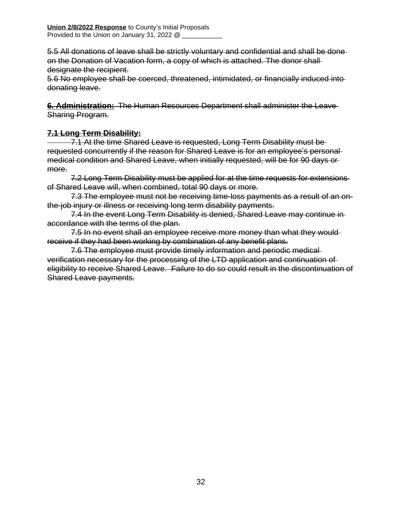5.5 All donations of leave shall be strictly voluntary and confidential and shall be done on the Donation of Vacation form, a copy of which is attached. The donor shall designate the recipient.

5.6 No employee shall be coerced, threatened, intimidated, or financially induced into donating leave.

**6. Administration:** The Human Resources Department shall administer the Leave Sharing Program.

### **7.1 Long Term Disability:**

 7.1 At the time Shared Leave is requested, Long Term Disability must be requested concurrently if the reason for Shared Leave is for an employee's personal medical condition and Shared Leave, when initially requested, will be for 90 days or more.

7.2 Long Term Disability must be applied for at the time requests for extensions of Shared Leave will, when combined, total 90 days or more.

7.3 The employee must not be receiving time-loss payments as a result of an onthe-job injury or illness or receiving long term disability payments.

7.4 In the event Long Term Disability is denied, Shared Leave may continue in accordance with the terms of the plan.

7.5 In no event shall an employee receive more money than what they would receive if they had been working by combination of any benefit plans.

7.6 The employee must provide timely information and periodic medical verification necessary for the processing of the LTD application and continuation of eligibility to receive Shared Leave. Failure to do so could result in the discontinuation of Shared Leave payments.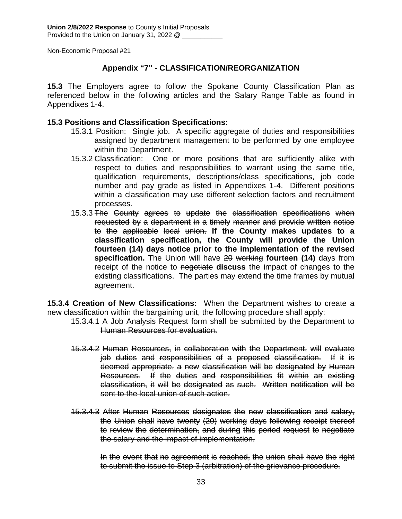### **Appendix "7" - CLASSIFICATION/REORGANIZATION**

**15.3** The Employers agree to follow the Spokane County Classification Plan as referenced below in the following articles and the Salary Range Table as found in Appendixes 1-4.

### **15.3 Positions and Classification Specifications:**

- 15.3.1 Position: Single job. A specific aggregate of duties and responsibilities assigned by department management to be performed by one employee within the Department.
- 15.3.2 Classification: One or more positions that are sufficiently alike with respect to duties and responsibilities to warrant using the same title, qualification requirements, descriptions/class specifications, job code number and pay grade as listed in Appendixes 1-4. Different positions within a classification may use different selection factors and recruitment processes.
- 15.3.3 The County agrees to update the classification specifications when requested by a department in a timely manner and provide written notice to the applicable local union. **If the County makes updates to a classification specification, the County will provide the Union fourteen (14) days notice prior to the implementation of the revised specification.** The Union will have 20 working **fourteen (14)** days from receipt of the notice to negotiate **discuss** the impact of changes to the existing classifications. The parties may extend the time frames by mutual agreement.

**15.3.4 Creation of New Classifications:** When the Department wishes to create a new classification within the bargaining unit, the following procedure shall apply:

- 15.3.4.1 A Job Analysis Request form shall be submitted by the Department to Human Resources for evaluation.
- 15.3.4.2 Human Resources, in collaboration with the Department, will evaluate job duties and responsibilities of a proposed classification. If it is deemed appropriate, a new classification will be designated by Human Resources. If the duties and responsibilities fit within an existing classification, it will be designated as such. Written notification will be sent to the local union of such action.
- 15.3.4.3 After Human Resources designates the new classification and salary, the Union shall have twenty (20) working days following receipt thereof to review the determination, and during this period request to negotiate the salary and the impact of implementation.

In the event that no agreement is reached, the union shall have the right to submit the issue to Step 3 (arbitration) of the grievance procedure.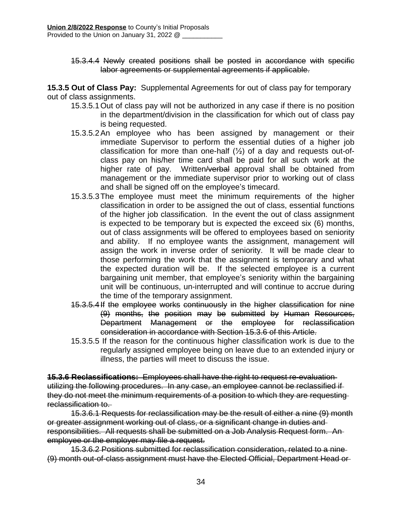15.3.4.4 Newly created positions shall be posted in accordance with specific labor agreements or supplemental agreements if applicable.

**15.3.5 Out of Class Pay:** Supplemental Agreements for out of class pay for temporary out of class assignments.

- 15.3.5.1Out of class pay will not be authorized in any case if there is no position in the department/division in the classification for which out of class pay is being requested.
- 15.3.5.2An employee who has been assigned by management or their immediate Supervisor to perform the essential duties of a higher job classification for more than one-half  $(\frac{1}{2})$  of a day and requests out-ofclass pay on his/her time card shall be paid for all such work at the higher rate of pay. Written/verbal approval shall be obtained from management or the immediate supervisor prior to working out of class and shall be signed off on the employee's timecard.
- 15.3.5.3The employee must meet the minimum requirements of the higher classification in order to be assigned the out of class, essential functions of the higher job classification. In the event the out of class assignment is expected to be temporary but is expected the exceed six (6) months, out of class assignments will be offered to employees based on seniority and ability. If no employee wants the assignment, management will assign the work in inverse order of seniority. It will be made clear to those performing the work that the assignment is temporary and what the expected duration will be. If the selected employee is a current bargaining unit member, that employee's seniority within the bargaining unit will be continuous, un-interrupted and will continue to accrue during the time of the temporary assignment.
- 15.3.5.4If the employee works continuously in the higher classification for nine (9) months, the position may be submitted by Human Resources, Department Management or the employee for reclassification consideration in accordance with Section 15.3.6 of this Article.
- 15.3.5.5 If the reason for the continuous higher classification work is due to the regularly assigned employee being on leave due to an extended injury or illness, the parties will meet to discuss the issue.

**15.3.6 Reclassifications:** Employees shall have the right to request re-evaluation utilizing the following procedures. In any case, an employee cannot be reclassified if they do not meet the minimum requirements of a position to which they are requesting reclassification to.

15.3.6.1 Requests for reclassification may be the result of either a nine (9) month or greater assignment working out of class, or a significant change in duties and responsibilities. All requests shall be submitted on a Job Analysis Request form. An employee or the employer may file a request.

15.3.6.2 Positions submitted for reclassification consideration, related to a nine (9) month out-of-class assignment must have the Elected Official, Department Head or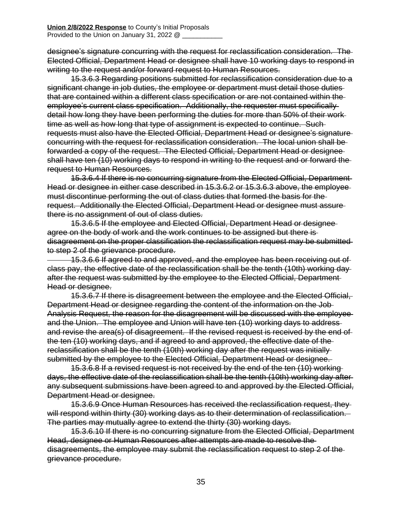designee's signature concurring with the request for reclassification consideration. The Elected Official, Department Head or designee shall have 10 working days to respond in writing to the request and/or forward request to Human Resources.

15.3.6.3 Regarding positions submitted for reclassification consideration due to a significant change in job duties, the employee or department must detail those duties that are contained within a different class specification or are not contained within the employee's current class specification. Additionally, the requester must specifically detail how long they have been performing the duties for more than 50% of their work time as well as how long that type of assignment is expected to continue. Such requests must also have the Elected Official, Department Head or designee's signature concurring with the request for reclassification consideration. The local union shall be forwarded a copy of the request. The Elected Official, Department Head or designee shall have ten (10) working days to respond in writing to the request and or forward the request to Human Resources.

15.3.6.4 If there is no concurring signature from the Elected Official, Department Head or designee in either case described in 15.3.6.2 or 15.3.6.3 above, the employee must discontinue performing the out of class duties that formed the basis for the request. Additionally the Elected Official, Department Head or designee must assure there is no assignment of out of class duties.

15.3.6.5 If the employee and Elected Official, Department Head or designee agree on the body of work and the work continues to be assigned but there is disagreement on the proper classification the reclassification request may be submitted to step 2 of the grievance procedure.

 15.3.6.6 If agreed to and approved, and the employee has been receiving out of class pay, the effective date of the reclassification shall be the tenth (10th) working day after the request was submitted by the employee to the Elected Official, Department Head or designee.

15.3.6.7 If there is disagreement between the employee and the Elected Official, Department Head or designee regarding the content of the information on the Job Analysis Request, the reason for the disagreement will be discussed with the employee and the Union. The employee and Union will have ten (10) working days to address and revise the area(s) of disagreement. If the revised request is received by the end of the ten (10) working days, and if agreed to and approved, the effective date of the reclassification shall be the tenth (10th) working day after the request was initially submitted by the employee to the Elected Official, Department Head or designee.

15.3.6.8 If a revised request is not received by the end of the ten (10) working days, the effective date of the reclassification shall be the tenth (10th) working day after any subsequent submissions have been agreed to and approved by the Elected Official, Department Head or designee.

15.3.6.9 Once Human Resources has received the reclassification request, they will respond within thirty (30) working days as to their determination of reclassification. The parties may mutually agree to extend the thirty (30) working days.

15.3.6.10 If there is no concurring signature from the Elected Official, Department Head, designee or Human Resources after attempts are made to resolve the disagreements, the employee may submit the reclassification request to step 2 of the grievance procedure.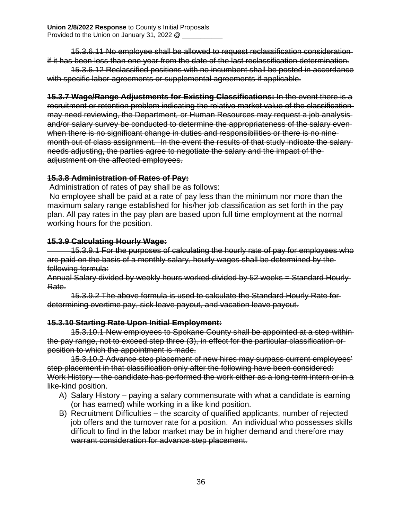15.3.6.11 No employee shall be allowed to request reclassification consideration if it has been less than one year from the date of the last reclassification determination.

15.3.6.12 Reclassified positions with no incumbent shall be posted in accordance with specific labor agreements or supplemental agreements if applicable.

**15.3.7 Wage/Range Adjustments for Existing Classifications:** In the event there is a recruitment or retention problem indicating the relative market value of the classification may need reviewing, the Department*,* or Human Resources may request a job analysis and/or salary survey be conducted to determine the appropriateness of the salary even when there is no significant change in duties and responsibilities or there is no ninemonth out of class assignment. In the event the results of that study indicate the salary needs adjusting, the parties agree to negotiate the salary and the impact of the adjustment on the affected employees.

### **15.3.8 Administration of Rates of Pay:**

Administration of rates of pay shall be as follows:

No employee shall be paid at a rate of pay less than the minimum nor more than the maximum salary range established for his/her job classification as set forth in the pay plan. All pay rates in the pay plan are based upon full time employment at the normal working hours for the position.

### **15.3.9 Calculating Hourly Wage:**

 15.3.9.1 For the purposes of calculating the hourly rate of pay for employees who are paid on the basis of a monthly salary, hourly wages shall be determined by the following formula:

Annual Salary divided by weekly hours worked divided by 52 weeks = Standard Hourly Rate.

15.3.9.2 The above formula is used to calculate the Standard Hourly Rate for determining overtime pay, sick leave payout, and vacation leave payout.

### **15.3.10 Starting Rate Upon Initial Employment:**

15.3.10.1 New employees to Spokane County shall be appointed at a step within the pay range, not to exceed step three (3), in effect for the particular classification or position to which the appointment is made.

15.3.10.2 Advance step placement of new hires may surpass current employees' step placement in that classification only after the following have been considered: Work History – the candidate has performed the work either as a long-term intern or in a like-kind position.

- A) Salary History paying a salary commensurate with what a candidate is earning (or has earned) while working in a like kind position.
- B) Recruitment Difficulties the scarcity of qualified applicants, number of rejected job offers and the turnover rate for a position. An individual who possesses skills difficult to find in the labor market may be in higher demand and therefore may warrant consideration for advance step placement.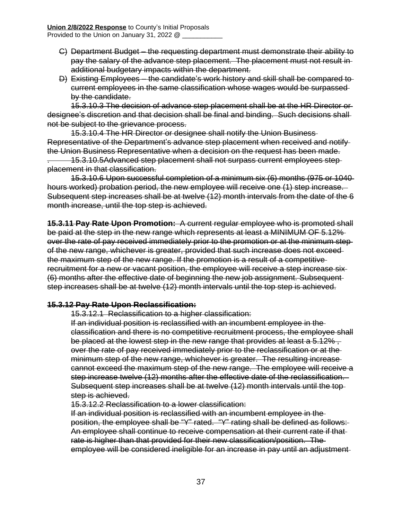- C) Department Budget the requesting department must demonstrate their ability to pay the salary of the advance step placement. The placement must not result in additional budgetary impacts within the department.
- D) Existing Employees the candidate's work history and skill shall be compared to current employees in the same classification whose wages would be surpassed by the candidate.

15.3.10.3 The decision of advance step placement shall be at the HR Director or designee's discretion and that decision shall be final and binding. Such decisions shall not be subject to the grievance process.

15.3.10.4 The HR Director or designee shall notify the Union Business Representative of the Department's advance step placement when received and notify the Union Business Representative when a decision on the request has been made.

. 15.3.10.5Advanced step placement shall not surpass current employees step placement in that classification.

15.3.10.6 Upon successful completion of a minimum six (6) months (975 or 1040 hours worked) probation period, the new employee will receive one (1) step increase. Subsequent step increases shall be at twelve (12) month intervals from the date of the 6 month increase, until the top step is achieved.

**15.3.11 Pay Rate Upon Promotion:** A current regular employee who is promoted shall be paid at the step in the new range which represents at least a MINIMUM OF 5.12% over the rate of pay received immediately prior to the promotion or at the minimum step of the new range, whichever is greater, provided that such increase does not exceed the maximum step of the new range. If the promotion is a result of a competitive recruitment for a new or vacant position, the employee will receive a step increase six (6) months after the effective date of beginning the new job assignment. Subsequent step increases shall be at twelve (12) month intervals until the top step is achieved.

### **15.3.12 Pay Rate Upon Reclassification:**

15.3.12.1 Reclassification to a higher classification:

If an individual position is reclassified with an incumbent employee in the classification and there is no competitive recruitment process, the employee shall be placed at the lowest step in the new range that provides at least a 5.12%, over the rate of pay received immediately prior to the reclassification or at the minimum step of the new range, whichever is greater. The resulting increase cannot exceed the maximum step of the new range. The employee will receive a step increase twelve (12) months after the effective date of the reclassification. Subsequent step increases shall be at twelve (12) month intervals until the top step is achieved.

15.3.12.2 Reclassification to a lower classification:

If an individual position is reclassified with an incumbent employee in the position, the employee shall be "Y" rated. "Y" rating shall be defined as follows: An employee shall continue to receive compensation at their current rate if that rate is higher than that provided for their new classification/position. The employee will be considered ineligible for an increase in pay until an adjustment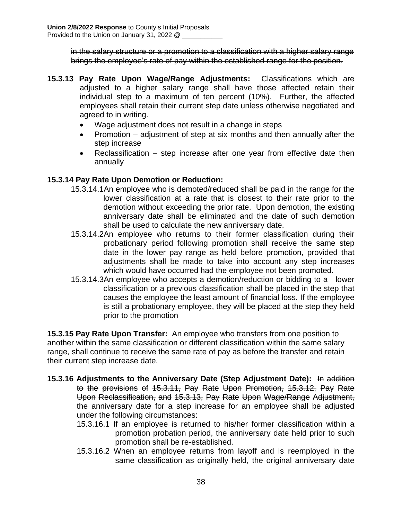in the salary structure or a promotion to a classification with a higher salary range brings the employee's rate of pay within the established range for the position.

- **15.3.13 Pay Rate Upon Wage/Range Adjustments:** Classifications which are adjusted to a higher salary range shall have those affected retain their individual step to a maximum of ten percent (10%). Further, the affected employees shall retain their current step date unless otherwise negotiated and agreed to in writing.
	- Wage adjustment does not result in a change in steps
	- Promotion adjustment of step at six months and then annually after the step increase
	- Reclassification step increase after one year from effective date then annually

### **15.3.14 Pay Rate Upon Demotion or Reduction:**

- 15.3.14.1An employee who is demoted/reduced shall be paid in the range for the lower classification at a rate that is closest to their rate prior to the demotion without exceeding the prior rate. Upon demotion, the existing anniversary date shall be eliminated and the date of such demotion shall be used to calculate the new anniversary date.
- 15.3.14.2An employee who returns to their former classification during their probationary period following promotion shall receive the same step date in the lower pay range as held before promotion, provided that adjustments shall be made to take into account any step increases which would have occurred had the employee not been promoted.
- 15.3.14.3An employee who accepts a demotion/reduction or bidding to a lower classification or a previous classification shall be placed in the step that causes the employee the least amount of financial loss. If the employee is still a probationary employee, they will be placed at the step they held prior to the promotion

**15.3.15 Pay Rate Upon Transfer:** An employee who transfers from one position to another within the same classification or different classification within the same salary range, shall continue to receive the same rate of pay as before the transfer and retain their current step increase date.

- **15.3.16 Adjustments to the Anniversary Date (Step Adjustment Date):** In addition to the provisions of 15.3.11, Pay Rate Upon Promotion, 15.3.12, Pay Rate Upon Reclassification, and 15.3.13, Pay Rate Upon Wage/Range Adjustment, the anniversary date for a step increase for an employee shall be adjusted under the following circumstances:
	- 15.3.16.1 If an employee is returned to his/her former classification within a promotion probation period, the anniversary date held prior to such promotion shall be re-established.
	- 15.3.16.2 When an employee returns from layoff and is reemployed in the same classification as originally held, the original anniversary date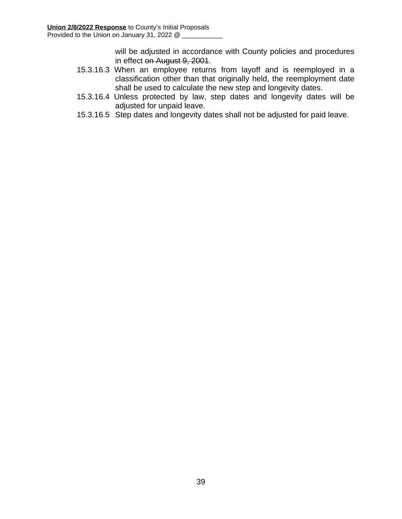will be adjusted in accordance with County policies and procedures in effect on August 9, 2001.

- 15.3.16.3 When an employee returns from layoff and is reemployed in a classification other than that originally held, the reemployment date shall be used to calculate the new step and longevity dates.
- 15.3.16.4 Unless protected by law, step dates and longevity dates will be adjusted for unpaid leave.
- 15.3.16.5 Step dates and longevity dates shall not be adjusted for paid leave.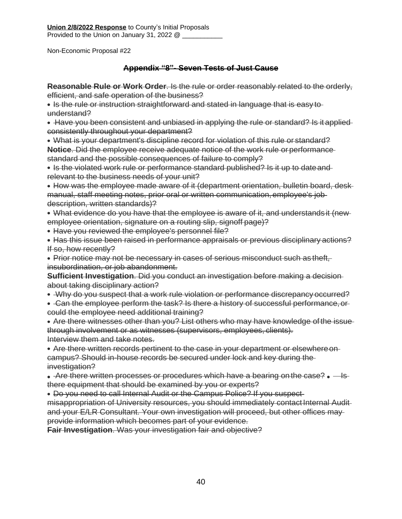**Union 2/8/2022 Response** to County's Initial Proposals Provided to the Union on January 31, 2022 @

Non-Economic Proposal #22

### **Appendix "8"- Seven Tests of Just Cause**

**Reasonable Rule or Work Order**. Is the rule or order reasonably related to the orderly, efficient, and safe operation of the business?

• Is the rule or instruction straightforward and stated in language that is easy to understand?

Have you been consistent and unbiased in applying the rule or standard? Is it applied consistently throughout your department?

What is your department's discipline record for violation of this rule or standard? **Notice**. Did the employee receive adequate notice of the work rule or performance standard and the possible consequences of failure to comply?

• Is the violated work rule or performance standard published? Is it up to date and relevant to the business needs of your unit?

• How was the employee made aware of it (department orientation, bulletin board, deskmanual, staff meeting notes, prior oral or written communication, employee's job description, written standards)?

What evidence do you have that the employee is aware of it, and understands it (new employee orientation, signature on a routing slip, signoff page)?

- Have you reviewed the employee's personnel file?
- Has this issue been raised in performance appraisals or previous disciplinary actions? If so, how recently?

Prior notice may not be necessary in cases of serious misconduct such as theft, insubordination, or job abandonment.

**Sufficient Investigation**. Did you conduct an investigation before making a decision about taking disciplinary action?

- Why do you suspect that a work rule violation or performance discrepancy occurred?
- Can the employee perform the task? Is there a history of successful performance, or could the employee need additional training?

Are there witnesses other than you? List others who may have knowledge ofthe issue through involvement or as witnesses (supervisors, employees, clients). Interview them and take notes.

Are there written records pertinent to the case in your department or elsewhereon campus? Should in-house records be secured under lock and key during the investigation?

- $\bullet$  Are there written processes or procedures which have a bearing on the case?  $\bullet$  Isthere equipment that should be examined by you or experts?
- Do you need to call Internal Audit or the Campus Police? If you suspect-

misappropriation of University resources, you should immediately contact Internal Audit and your E/LR Consultant. Your own investigation will proceed, but other offices may provide information which becomes part of your evidence.

**Fair Investigation**. Was your investigation fair and objective?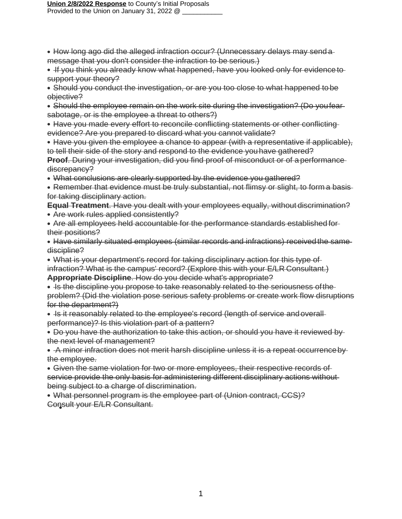#### **Union 2/8/2022 Response** to County's Initial Proposals Provided to the Union on January 31, 2022 @

- How long ago did the alleged infraction occur? (Unnecessary delays may send a message that you don't consider the infraction to be serious.)
- If you think you already know what happened, have you looked only for evidence to support your theory?
- Should you conduct the investigation, or are you too close to what happened tobe objective?
- Should the employee remain on the work site during the investigation? (Do youfear sabotage, or is the employee a threat to others?)
- Have you made every effort to reconcile conflicting statements or other conflicting evidence? Are you prepared to discard what you cannot validate?
- Have you given the employee a chance to appear (with a representative if applicable), to tell their side of the story and respond to the evidence youhave gathered?
- **Proof.** During your investigation, did you find proof of misconduct or of a performance discrepancy?
- What conclusions are clearly supported by the evidence you gathered?
- Remember that evidence must be truly substantial, not flimsy or slight, to form a basis for taking disciplinary action.
- **Equal Treatment**. Have you dealt with your employees equally, without discrimination? Are work rules applied consistently?
- Are all employees held accountable for the performance standards established for their positions?
- Have similarly situated employees (similar records and infractions) received the same discipline?
- What is your department's record for taking disciplinary action for this type of infraction? What is the campus' record? (Explore this with your E/LR Consultant.)
- **Appropriate Discipline**. How do you decide what's appropriate?
- Is the discipline you propose to take reasonably related to the seriousness of the problem? (Did the violation pose serious safety problems or create work flow disruptions for the department?)
- Is it reasonably related to the employee's record (length of service and overall performance)? Is this violation part of a pattern?
- Do you have the authorization to take this action, or should you have it reviewed bythe next level of management?
- A minor infraction does not merit harsh discipline unless it is a repeat occurrence by the employee.
- Given the same violation for two or more employees, their respective records of service provide the only basis for administering different disciplinary actions withoutbeing subject to a charge of discrimination.
- What personnel program is the employee part of (Union contract, CCS)? Consult your E/LR Consultant.